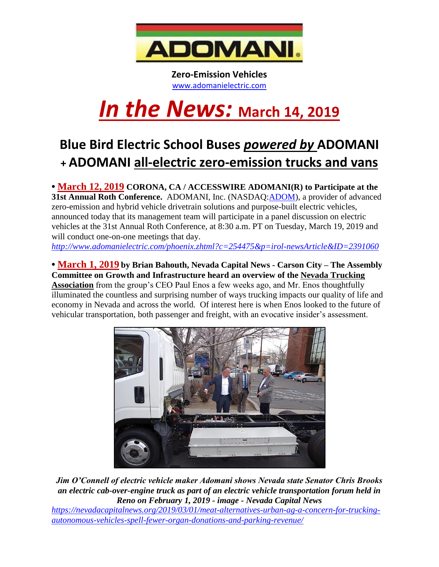

**Zero-Emission Vehicles** [www.adomanielectric.com](http://www.adomanielectric.com/)

# *In the News:* **March 14, <sup>2019</sup>**

## **Blue Bird Electric School Buses** *powered by* **ADOMANI + ADOMANI all-electric zero-emission trucks and vans**

**• March 12, 2019 CORONA, CA / ACCESSWIRE ADOMANI(R) to Participate at the 31st Annual Roth Conference.** ADOMANI, Inc. (NASDAQ: **ADOM**), a provider of advanced zero-emission and hybrid vehicle drivetrain solutions and purpose-built electric vehicles, announced today that its management team will participate in a panel discussion on electric vehicles at the 31st Annual Roth Conference, at 8:30 a.m. PT on Tuesday, March 19, 2019 and will conduct one-on-one meetings that day. *<http://www.adomanielectric.com/phoenix.zhtml?c=254475&p=irol-newsArticle&ID=2391060>*

**• March 1, 2019 by Brian Bahouth, Nevada Capital News - Carson City – The Assembly** 

**Committee on Growth and Infrastructure heard an overview of the [Nevada Trucking](http://www.nevadatrucking.com/)  [Association](http://www.nevadatrucking.com/)** from the group's CEO Paul Enos a few weeks ago, and Mr. Enos thoughtfully illuminated the countless and surprising number of ways trucking impacts our quality of life and economy in Nevada and across the world. Of interest here is when Enos looked to the future of vehicular transportation, both passenger and freight, with an evocative insider's assessment.



*Jim O'Connell of electric vehicle maker Adomani shows Nevada state Senator Chris Brooks an electric cab-over-engine truck as part of an electric vehicle transportation forum held in Reno on February 1, 2019 - image - Nevada Capital News*

*[https://nevadacapitalnews.org/2019/03/01/meat-alternatives-urban-ag-a-concern-for-trucking](https://nevadacapitalnews.org/2019/03/01/meat-alternatives-urban-ag-a-concern-for-trucking-autonomous-vehicles-spell-fewer-organ-donations-and-parking-revenue/)[autonomous-vehicles-spell-fewer-organ-donations-and-parking-revenue/](https://nevadacapitalnews.org/2019/03/01/meat-alternatives-urban-ag-a-concern-for-trucking-autonomous-vehicles-spell-fewer-organ-donations-and-parking-revenue/)*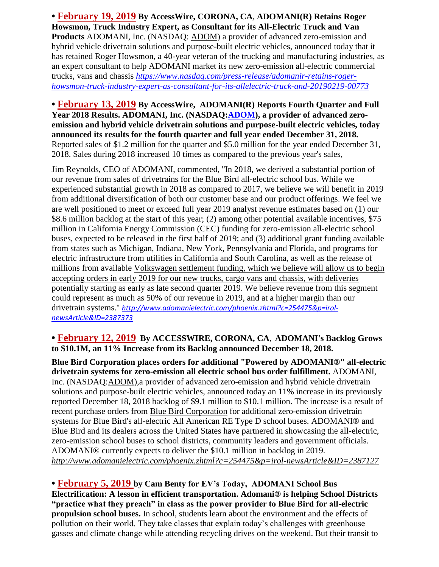**• February 19, 2019 By AccessWire, CORONA, CA, ADOMANI(R) Retains Roger Howsmon, Truck Industry Expert, as Consultant for its All-Electric Truck and Van Products** ADOMANI, Inc. (NASDAQ: [ADOM\)](http://pr.report/jCUrRntx) a provider of advanced zero-emission and hybrid vehicle drivetrain solutions and purpose-built electric vehicles, announced today that it has retained Roger Howsmon, a 40-year veteran of the trucking and manufacturing industries, as an expert consultant to help ADOMANI market its new zero-emission all-electric commercial trucks, vans and chassis *[https://www.nasdaq.com/press-release/adomanir-retains-roger](https://www.nasdaq.com/press-release/adomanir-retains-roger-howsmon-truck-industry-expert-as-consultant-for-its-allelectric-truck-and-20190219-00773)[howsmon-truck-industry-expert-as-consultant-for-its-allelectric-truck-and-20190219-00773](https://www.nasdaq.com/press-release/adomanir-retains-roger-howsmon-truck-industry-expert-as-consultant-for-its-allelectric-truck-and-20190219-00773)*

**• February 13, 2019 By AccessWire, ADOMANI(R) Reports Fourth Quarter and Full Year 2018 Results. ADOMANI, Inc. (NASDAQ[:ADOM\)](http://www.nasdaq.com/symbol/adom), a provider of advanced zeroemission and hybrid vehicle drivetrain solutions and purpose-built electric vehicles, today announced its results for the fourth quarter and full year ended December 31, 2018.**  Reported sales of \$1.2 million for the quarter and \$5.0 million for the year ended December 31, 2018. Sales during 2018 increased 10 times as compared to the previous year's sales,

Jim Reynolds, CEO of ADOMANI, commented, ''In 2018, we derived a substantial portion of our revenue from sales of drivetrains for the Blue Bird all-electric school bus. While we experienced substantial growth in 2018 as compared to 2017, we believe we will benefit in 2019 from additional diversification of both our customer base and our product offerings. We feel we are well positioned to meet or exceed full year 2019 analyst revenue estimates based on (1) our \$8.6 million backlog at the start of this year; (2) among other potential available incentives, \$75 million in California Energy Commission (CEC) funding for zero-emission all-electric school buses, expected to be released in the first half of 2019; and (3) additional grant funding available from states such as Michigan, Indiana, New York, Pennsylvania and Florida, and programs for electric infrastructure from utilities in California and South Carolina, as well as the release of millions from available Volkswagen settlement funding, which we believe will allow us to begin accepting orders in early 2019 for our new trucks, cargo vans and chassis, with deliveries potentially starting as early as late second quarter 2019. We believe revenue from this segment could represent as much as 50% of our revenue in 2019, and at a higher margin than our drivetrain systems.'' *[http://www.adomanielectric.com/phoenix.zhtml?c=254475&p=irol](http://www.adomanielectric.com/phoenix.zhtml?c=254475&p=irol-newsArticle&ID=2387373)[newsArticle&ID=2387373](http://www.adomanielectric.com/phoenix.zhtml?c=254475&p=irol-newsArticle&ID=2387373)*

#### **• February 12, 2019 By ACCESSWIRE, CORONA, CA**, **ADOMANI's Backlog Grows to \$10.1M, an 11% Increase from its Backlog announced December 18, 2018.**

**Blue Bird Corporation places orders for additional "Powered by ADOMANI®" all-electric drivetrain systems for zero-emission all electric school bus order fulfillment.** ADOMANI, Inc. (NASDAQ[:ADOM\)](http://pr.report/gjZcTDtG),a provider of advanced zero-emission and hybrid vehicle drivetrain solutions and purpose-built electric vehicles, announced today an 11% increase in its previously reported December 18, 2018 backlog of \$9.1 million to \$10.1 million. The increase is a result of recent purchase orders from [Blue Bird Corporation](http://pr.report/Qh5lWOzo) for additional zero-emission drivetrain systems for Blue Bird's all-electric All American RE Type D school buses. ADOMANI® and Blue Bird and its dealers across the United States have partnered in showcasing the all-electric, zero-emission school buses to school districts, community leaders and government officials. ADOMANI® currently expects to deliver the \$10.1 million in backlog in 2019*. <http://www.adomanielectric.com/phoenix.zhtml?c=254475&p=irol-newsArticle&ID=2387127>*

**• February 5, 2019 by Cam Benty for EV's Today, ADOMANI School Bus Electrification: A lesson in efficient transportation. Adomani® is helping School Districts "practice what they preach" in class as the power provider to Blue Bird for all-electric propulsion school buses.** In school, students learn about the environment and the effects of pollution on their world. They take classes that explain today's challenges with greenhouse gasses and climate change while attending recycling drives on the weekend. But their transit to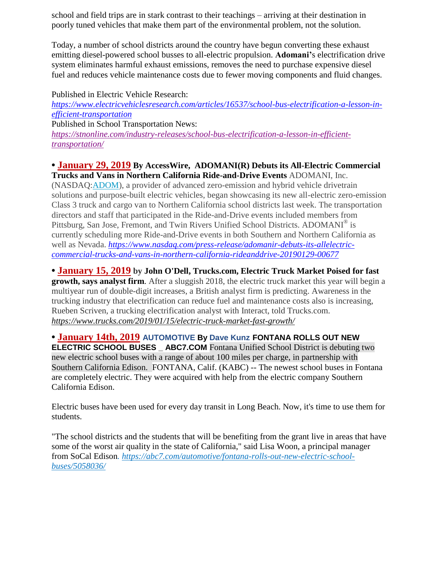school and field trips are in stark contrast to their teachings – arriving at their destination in poorly tuned vehicles that make them part of the environmental problem, not the solution.

Today, a number of school districts around the country have begun converting these exhaust emitting diesel-powered school busses to all-electric propulsion. **Adomani'**s electrification drive system eliminates harmful exhaust emissions, removes the need to purchase expensive diesel fuel and reduces vehicle maintenance costs due to fewer moving components and fluid changes.

Published in Electric Vehicle Research: *[https://www.electricvehiclesresearch.com/articles/16537/school-bus-electrification-a-lesson-in](https://www.electricvehiclesresearch.com/articles/16537/school-bus-electrification-a-lesson-in-efficient-transportation)[efficient-transportation](https://www.electricvehiclesresearch.com/articles/16537/school-bus-electrification-a-lesson-in-efficient-transportation)* Published in School Transportation News: *[https://stnonline.com/industry-releases/school-bus-electrification-a-lesson-in-efficient](https://stnonline.com/industry-releases/school-bus-electrification-a-lesson-in-efficient-transportation/)[transportation/](https://stnonline.com/industry-releases/school-bus-electrification-a-lesson-in-efficient-transportation/)*

#### **• January 29, 2019 By AccessWire, ADOMANI(R) Debuts its All-Electric Commercial Trucks and Vans in Northern California Ride-and-Drive Events** ADOMANI, Inc.

(NASDAQ[:ADOM\)](http://www.nasdaq.com/symbol/adom), a provider of advanced zero-emission and hybrid vehicle drivetrain solutions and purpose-built electric vehicles, began showcasing its new all-electric zero-emission Class 3 truck and cargo van to Northern California school districts last week. The transportation directors and staff that participated in the Ride-and-Drive events included members from Pittsburg, San Jose, Fremont, and Twin Rivers Unified School Districts. ADOMANI® is currently scheduling more Ride-and-Drive events in both Southern and Northern California as well as Nevada. *[https://www.nasdaq.com/press-release/adomanir-debuts-its-allelectric](https://www.nasdaq.com/press-release/adomanir-debuts-its-allelectric-commercial-trucks-and-vans-in-northern-california-rideanddrive-20190129-00677)[commercial-trucks-and-vans-in-northern-california-rideanddrive-20190129-00677](https://www.nasdaq.com/press-release/adomanir-debuts-its-allelectric-commercial-trucks-and-vans-in-northern-california-rideanddrive-20190129-00677)*

**• January 15, 2019 by [John O'Dell,](https://www.trucks.com/author/john-odell/) Trucks.com, Electric Truck Market Poised for fast growth, says analyst firm.** After a sluggish 2018, the electric truck market this year will begin a multiyear run of double-digit increases, a British analyst firm is predicting. Awareness in the trucking industry that electrification can reduce fuel and maintenance costs also is increasing, Rueben Scriven, a trucking electrification analyst with Interact, told Trucks.com. *<https://www.trucks.com/2019/01/15/electric-truck-market-fast-growth/>*

**• January 14th, 2019 [AUTOMOTIVE](https://abc7.com/topic/automotive) By [Dave Kunz](https://abc7.com/about/newsteam/dave-kunz) FONTANA ROLLS OUT NEW ELECTRIC SCHOOL BUSES** ABC7.COM Fontana Unified School District is debuting two new electric school buses with a range of about 100 miles per charge, in partnership with Southern California Edison. FONTANA, Calif. (KABC) -- The newest school buses in Fontana are completely electric. They were acquired with help from the electric company Southern California Edison.

Electric buses have been used for every day transit in Long Beach. Now, it's time to use them for students.

"The school districts and the students that will be benefiting from the grant live in areas that have some of the worst air quality in the state of California," said Lisa Woon, a principal manager from SoCal Edison*. [https://abc7.com/automotive/fontana-rolls-out-new-electric-school](.%20https:/abc7.com/automotive/fontana-rolls-out-new-electric-school-buses/5058036/)[buses/5058036/](.%20https:/abc7.com/automotive/fontana-rolls-out-new-electric-school-buses/5058036/)*